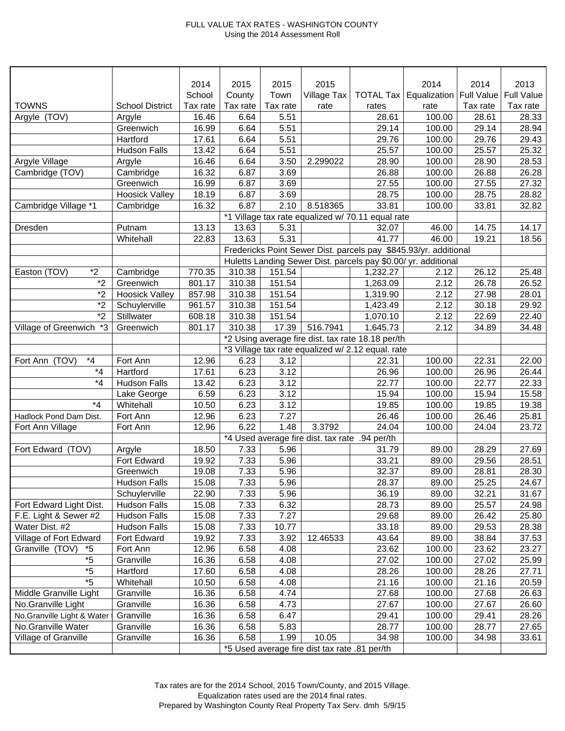## FULL VALUE TAX RATES - WASHINGTON COUNTY Using the 2014 Assessment Roll

|                               |                        | 2014     | 2015                                           | 2015     | 2015                                          |                                                   | 2014                                                             | 2014     | 2013              |
|-------------------------------|------------------------|----------|------------------------------------------------|----------|-----------------------------------------------|---------------------------------------------------|------------------------------------------------------------------|----------|-------------------|
|                               |                        | School   | County                                         | Town     | Village Tax                                   |                                                   | <b>TOTAL Tax   Equalization   Full Value</b>                     |          | <b>Full Value</b> |
| <b>TOWNS</b>                  | <b>School District</b> | Tax rate | Tax rate                                       | Tax rate | rate                                          | rates                                             | rate                                                             | Tax rate | Tax rate          |
| Argyle (TOV)                  | Argyle                 | 16.46    | 6.64                                           | 5.51     |                                               | 28.61                                             | 100.00                                                           | 28.61    | 28.33             |
|                               | Greenwich              | 16.99    | 6.64                                           | 5.51     |                                               | 29.14                                             | 100.00                                                           | 29.14    | 28.94             |
|                               | Hartford               | 17.61    | 6.64                                           | 5.51     |                                               | 29.76                                             | 100.00                                                           | 29.76    | 29.43             |
|                               | <b>Hudson Falls</b>    | 13.42    | 6.64                                           | 5.51     |                                               | 25.57                                             | 100.00                                                           | 25.57    | 25.32             |
| Argyle Village                | Argyle                 | 16.46    | 6.64                                           | 3.50     | 2.299022                                      | 28.90                                             | 100.00                                                           | 28.90    | 28.53             |
| Cambridge (TOV)               | Cambridge              | 16.32    | 6.87                                           | 3.69     |                                               | 26.88                                             | 100.00                                                           | 26.88    | 26.28             |
|                               | Greenwich              | 16.99    | 6.87                                           | 3.69     |                                               | 27.55                                             | 100.00                                                           | 27.55    | 27.32             |
|                               | <b>Hoosick Valley</b>  | 18.19    | 6.87                                           | 3.69     |                                               | 28.75                                             | 100.00                                                           | 28.75    | 28.82             |
| Cambridge Village *1          | Cambridge              | 16.32    | 6.87                                           | 2.10     | 8.518365                                      | 33.81                                             | 100.00                                                           | 33.81    | 32.82             |
|                               |                        |          |                                                |          |                                               | *1 Village tax rate equalized w/ 70.11 equal rate |                                                                  |          |                   |
| Dresden                       | Putnam                 | 13.13    | 13.63                                          | 5.31     |                                               | 32.07                                             | 46.00                                                            | 14.75    | 14.17             |
|                               | Whitehall              | 22.83    | 13.63                                          | 5.31     |                                               | 41.77                                             | 46.00                                                            | 19.21    | 18.56             |
|                               |                        |          |                                                |          |                                               |                                                   | Fredericks Point Sewer Dist. parcels pay \$845.93/yr. additional |          |                   |
|                               |                        |          |                                                |          |                                               |                                                   | Huletts Landing Sewer Dist. parcels pay \$0.00/ yr. additional   |          |                   |
| $*2$<br>Easton (TOV)          | Cambridge              | 770.35   | 310.38                                         | 151.54   |                                               | 1,232.27                                          | 2.12                                                             | 26.12    | 25.48             |
| $*_{2}$                       | Greenwich              | 801.17   | 310.38                                         | 151.54   |                                               | 1,263.09                                          | 2.12                                                             | 26.78    | 26.52             |
| $*_{2}$                       | <b>Hoosick Valley</b>  | 857.98   | 310.38                                         | 151.54   |                                               | 1,319.90                                          | 2.12                                                             | 27.98    | 28.01             |
| $*_{2}$                       | Schuylerville          | 961.57   | 310.38                                         | 151.54   |                                               | 1,423.49                                          | 2.12                                                             | 30.18    | 29.92             |
| $*_{2}$                       | Stillwater             | 608.18   | 310.38                                         | 151.54   |                                               | 1,070.10                                          | 2.12                                                             | 22.69    | 22.40             |
| *3<br>Village of Greenwich    | Greenwich              | 801.17   | 310.38                                         | 17.39    | 516.7941                                      | 1,645.73                                          | 2.12                                                             | 34.89    | 34.48             |
|                               |                        |          |                                                |          |                                               | *2 Using average fire dist. tax rate 18.18 per/th |                                                                  |          |                   |
|                               |                        |          |                                                |          |                                               | *3 Village tax rate equalized w/ 2.12 equal. rate |                                                                  |          |                   |
| $^{\star}4$<br>Fort Ann (TOV) | Fort Ann               | 12.96    | 6.23                                           | 3.12     |                                               | 22.31                                             | 100.00                                                           | 22.31    | 22.00             |
| $*_{4}$                       | Hartford               | 17.61    | 6.23                                           | 3.12     |                                               | 26.96                                             | 100.00                                                           | 26.96    | 26.44             |
| $*_{4}$                       | <b>Hudson Falls</b>    | 13.42    | 6.23                                           | 3.12     |                                               | 22.77                                             | 100.00                                                           | 22.77    | 22.33             |
|                               | Lake George            | 6.59     | 6.23                                           | 3.12     |                                               | 15.94                                             | 100.00                                                           | 15.94    | 15.58             |
| $*_{4}$                       | Whitehall              | 10.50    | 6.23                                           | 3.12     |                                               | 19.85                                             | 100.00                                                           | 19.85    | 19.38             |
| Hadlock Pond Dam Dist.        | Fort Ann               | 12.96    | 6.23                                           | 7.27     |                                               | 26.46                                             | 100.00                                                           | 26.46    | 25.81             |
| Fort Ann Village              | Fort Ann               | 12.96    | 6.22                                           | 1.48     | 3.3792                                        | 24.04                                             | 100.00                                                           | 24.04    | 23.72             |
|                               |                        |          | *4 Used average fire dist. tax rate .94 per/th |          |                                               |                                                   |                                                                  |          |                   |
| Fort Edward (TOV)             | Argyle                 | 18.50    | 7.33                                           | 5.96     |                                               | 31.79                                             | 89.00                                                            | 28.29    | 27.69             |
|                               | Fort Edward            | 19.92    | 7.33                                           | 5.96     |                                               | 33.21                                             | 89.00                                                            | 29.56    | 28.51             |
|                               | Greenwich              | 19.08    | 7.33                                           | 5.96     |                                               | 32.37                                             | 89.00                                                            | 28.81    | 28.30             |
|                               | Hudson Falls           | 15.08    | 7.33                                           | 5.96     |                                               | 28.37                                             | 89.00                                                            | 25.25    | 24.67             |
|                               | Schuylerville          | 22.90    | 7.33                                           | 5.96     |                                               | 36.19                                             | 89.00                                                            | 32.21    | 31.67             |
| Fort Edward Light Dist.       | <b>Hudson Falls</b>    | 15.08    | 7.33                                           | 6.32     |                                               | 28.73                                             | 89.00                                                            | 25.57    | 24.98             |
| F.E. Light & Sewer #2         | <b>Hudson Falls</b>    | 15.08    | 7.33                                           | 7.27     |                                               | 29.68                                             | 89.00                                                            | 26.42    | 25.80             |
| Water Dist. #2                | <b>Hudson Falls</b>    | 15.08    | 7.33                                           | 10.77    |                                               | 33.18                                             | 89.00                                                            | 29.53    | 28.38             |
| Village of Fort Edward        | Fort Edward            | 19.92    | 7.33                                           | 3.92     | 12.46533                                      | 43.64                                             | 89.00                                                            | 38.84    | 37.53             |
| Granville (TOV)<br>*5         | Fort Ann               | 12.96    | 6.58                                           | 4.08     |                                               | 23.62                                             | 100.00                                                           | 23.62    | 23.27             |
| $*5$                          | Granville              | 16.36    | 6.58                                           | 4.08     |                                               | 27.02                                             | 100.00                                                           | 27.02    | 25.99             |
| $*5$                          | Hartford               | 17.60    | 6.58                                           | 4.08     |                                               | 28.26                                             | 100.00                                                           | 28.26    | 27.71             |
| $*5$                          | Whitehall              | 10.50    | 6.58                                           | 4.08     |                                               | 21.16                                             | 100.00                                                           | 21.16    | 20.59             |
| Middle Granville Light        | Granville              | 16.36    | 6.58                                           | 4.74     |                                               | 27.68                                             | 100.00                                                           | 27.68    | 26.63             |
| No.Granville Light            | Granville              | 16.36    | 6.58                                           | 4.73     |                                               | 27.67                                             | 100.00                                                           | 27.67    | 26.60             |
| No.Granville Light & Water    | Granville              | 16.36    | 6.58                                           | 6.47     |                                               | 29.41                                             | 100.00                                                           | 29.41    | 28.26             |
| No.Granville Water            | Granville              | 16.36    | 6.58                                           | 5.83     |                                               | 28.77                                             | 100.00                                                           | 28.77    | 27.65             |
| Village of Granville          | Granville              | 16.36    | 6.58                                           | 1.99     | 10.05                                         | 34.98                                             | 100.00                                                           | 34.98    | 33.61             |
|                               |                        |          |                                                |          | *5 Used average fire dist tax rate .81 per/th |                                                   |                                                                  |          |                   |
|                               |                        |          |                                                |          |                                               |                                                   |                                                                  |          |                   |